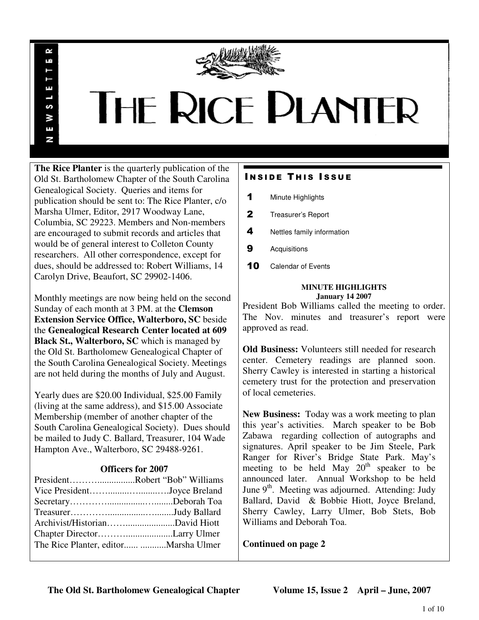

# THE RICE PLANTER

**The Rice Planter** is the quarterly publication of the Old St. Bartholomew Chapter of the South Carolina Genealogical Society. Queries and items for publication should be sent to: The Rice Planter, c/o Marsha Ulmer, Editor, 2917 Woodway Lane, Columbia, SC 29223. Members and Non-members are encouraged to submit records and articles that would be of general interest to Colleton County researchers. All other correspondence, except for dues, should be addressed to: Robert Williams, 14 Carolyn Drive, Beaufort, SC 29902-1406.

R uń

ш

S ¥ E N

Monthly meetings are now being held on the second Sunday of each month at 3 PM. at the **Clemson Extension Service Office, Walterboro, SC** beside the **Genealogical Research Center located at 609 Black St., Walterboro, SC** which is managed by the Old St. Bartholomew Genealogical Chapter of the South Carolina Genealogical Society. Meetings are not held during the months of July and August.

Yearly dues are \$20.00 Individual, \$25.00 Family (living at the same address), and \$15.00 Associate Membership (member of another chapter of the South Carolina Genealogical Society). Dues should be mailed to Judy C. Ballard, Treasurer, 104 Wade Hampton Ave., Walterboro, SC 29488-9261.

# **Officers for 2007**

| PresidentRobert "Bob" Williams        |  |
|---------------------------------------|--|
| Vice PresidentJoyce Breland           |  |
|                                       |  |
|                                       |  |
|                                       |  |
|                                       |  |
| The Rice Planter, editor Marsha Ulmer |  |
|                                       |  |

# **INSIDE THIS ISSUE**

- 1 Minute Highlights
- 2 Treasurer's Report
- 4 Nettles family information
- **9** Acquisitions
- 10 Calendar of Events

## **MINUTE HIGHLIGHTS January 14 2007**

President Bob Williams called the meeting to order. The Nov. minutes and treasurer's report were approved as read.

**Old Business:** Volunteers still needed for research center. Cemetery readings are planned soon. Sherry Cawley is interested in starting a historical cemetery trust for the protection and preservation of local cemeteries.

**New Business:** Today was a work meeting to plan this year's activities. March speaker to be Bob Zabawa regarding collection of autographs and signatures. April speaker to be Jim Steele, Park Ranger for River's Bridge State Park. May's meeting to be held May  $20<sup>th</sup>$  speaker to be announced later. Annual Workshop to be held June  $9<sup>th</sup>$ . Meeting was adjourned. Attending: Judy Ballard, David & Bobbie Hiott, Joyce Breland, Sherry Cawley, Larry Ulmer, Bob Stets, Bob Williams and Deborah Toa.

**Continued on page 2**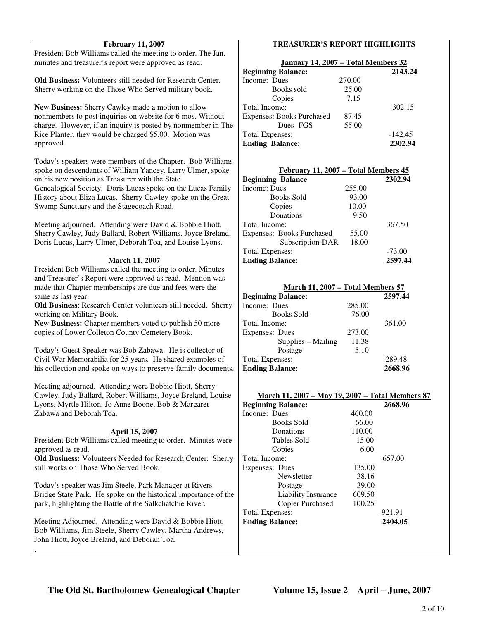| <b>February 11, 2007</b>                                           | <b>TREASURER'S REPORT HIGHLIGHTS</b>             |           |  |
|--------------------------------------------------------------------|--------------------------------------------------|-----------|--|
| President Bob Williams called the meeting to order. The Jan.       |                                                  |           |  |
| minutes and treasurer's report were approved as read.              | January 14, 2007 - Total Members 32              |           |  |
|                                                                    | <b>Beginning Balance:</b>                        | 2143.24   |  |
| Old Business: Volunteers still needed for Research Center.         | Income: Dues<br>270.00                           |           |  |
| Sherry working on the Those Who Served military book.              | 25.00<br>Books sold                              |           |  |
|                                                                    | 7.15<br>Copies                                   |           |  |
| New Business: Sherry Cawley made a motion to allow                 | Total Income:                                    | 302.15    |  |
| nonmembers to post inquiries on website for 6 mos. Without         | <b>Expenses: Books Purchased</b><br>87.45        |           |  |
| charge. However, if an inquiry is posted by nonmember in The       | Dues-FGS<br>55.00                                |           |  |
| Rice Planter, they would be charged \$5.00. Motion was             | <b>Total Expenses:</b>                           | $-142.45$ |  |
| approved.                                                          | <b>Ending Balance:</b>                           | 2302.94   |  |
|                                                                    |                                                  |           |  |
| Today's speakers were members of the Chapter. Bob Williams         |                                                  |           |  |
| spoke on descendants of William Yancey. Larry Ulmer, spoke         | February 11, 2007 - Total Members 45             |           |  |
| on his new position as Treasurer with the State                    | <b>Beginning Balance</b>                         | 2302.94   |  |
| Genealogical Society. Doris Lucas spoke on the Lucas Family        | Income: Dues<br>255.00                           |           |  |
| History about Eliza Lucas. Sherry Cawley spoke on the Great        | 93.00<br><b>Books Sold</b>                       |           |  |
| Swamp Sanctuary and the Stagecoach Road.                           | 10.00<br>Copies                                  |           |  |
|                                                                    | Donations<br>9.50                                |           |  |
|                                                                    | Total Income:                                    | 367.50    |  |
| Meeting adjourned. Attending were David & Bobbie Hiott,            | 55.00                                            |           |  |
| Sherry Cawley, Judy Ballard, Robert Williams, Joyce Breland,       | <b>Expenses: Books Purchased</b>                 |           |  |
| Doris Lucas, Larry Ulmer, Deborah Toa, and Louise Lyons.           | Subscription-DAR<br>18.00                        |           |  |
|                                                                    | <b>Total Expenses:</b>                           | $-73.00$  |  |
| <b>March 11, 2007</b>                                              | <b>Ending Balance:</b>                           | 2597.44   |  |
| President Bob Williams called the meeting to order. Minutes        |                                                  |           |  |
| and Treasurer's Report were approved as read. Mention was          |                                                  |           |  |
| made that Chapter memberships are due and fees were the            | <b>March 11, 2007 - Total Members 57</b>         |           |  |
| same as last year.                                                 | <b>Beginning Balance:</b>                        | 2597.44   |  |
| Old Business: Research Center volunteers still needed. Sherry      | Income: Dues<br>285.00                           |           |  |
| working on Military Book.                                          | <b>Books Sold</b><br>76.00                       |           |  |
| New Business: Chapter members voted to publish 50 more             | Total Income:                                    | 361.00    |  |
| copies of Lower Colleton County Cemetery Book.                     | 273.00<br>Expenses: Dues                         |           |  |
|                                                                    | 11.38<br>Supplies - Mailing                      |           |  |
| Today's Guest Speaker was Bob Zabawa. He is collector of           | Postage<br>5.10                                  |           |  |
| Civil War Memorabilia for 25 years. He shared examples of          | <b>Total Expenses:</b>                           | $-289.48$ |  |
| his collection and spoke on ways to preserve family documents.     | <b>Ending Balance:</b>                           | 2668.96   |  |
|                                                                    |                                                  |           |  |
| Meeting adjourned. Attending were Bobbie Hiott, Sherry             |                                                  |           |  |
| Cawley, Judy Ballard, Robert Williams, Joyce Breland, Louise       | March 11, 2007 - May 19, 2007 - Total Members 87 |           |  |
| Lyons, Myrtle Hilton, Jo Anne Boone, Bob & Margaret                | <b>Beginning Balance:</b>                        | 2668.96   |  |
| Zabawa and Deborah Toa.                                            | Income: Dues<br>460.00                           |           |  |
|                                                                    | <b>Books Sold</b><br>66.00                       |           |  |
| April 15, 2007                                                     | Donations<br>110.00                              |           |  |
| President Bob Williams called meeting to order. Minutes were       | Tables Sold<br>15.00                             |           |  |
| approved as read.                                                  | Copies<br>6.00                                   |           |  |
| <b>Old Business:</b> Volunteers Needed for Research Center. Sherry | Total Income:                                    | 657.00    |  |
| still works on Those Who Served Book.                              | 135.00<br><b>Expenses: Dues</b>                  |           |  |
|                                                                    | Newsletter<br>38.16                              |           |  |
| Today's speaker was Jim Steele, Park Manager at Rivers             | 39.00<br>Postage                                 |           |  |
| Bridge State Park. He spoke on the historical importance of the    | Liability Insurance<br>609.50                    |           |  |
| park, highlighting the Battle of the Salkchatchie River.           | Copier Purchased<br>100.25                       |           |  |
|                                                                    | <b>Total Expenses:</b>                           | $-921.91$ |  |
| Meeting Adjourned. Attending were David & Bobbie Hiott,            | <b>Ending Balance:</b>                           | 2404.05   |  |
| Bob Williams, Jim Steele, Sherry Cawley, Martha Andrews,           |                                                  |           |  |
| John Hiott, Joyce Breland, and Deborah Toa.                        |                                                  |           |  |
|                                                                    |                                                  |           |  |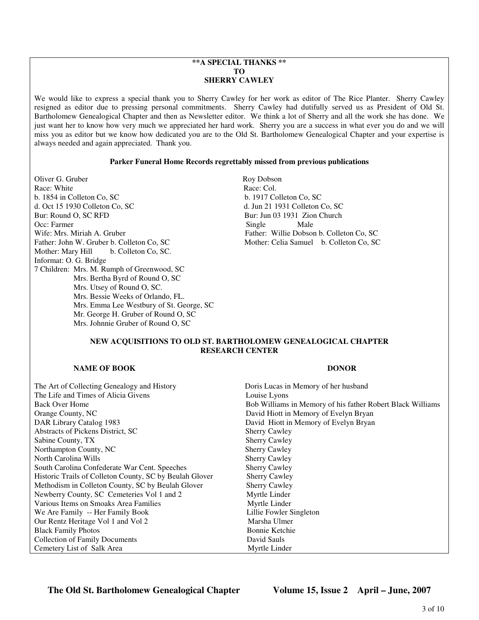## **\*\*A SPECIAL THANKS \*\* TO SHERRY CAWLEY**

We would like to express a special thank you to Sherry Cawley for her work as editor of The Rice Planter. Sherry Cawley resigned as editor due to pressing personal commitments. Sherry Cawley had dutifully served us as President of Old St. Bartholomew Genealogical Chapter and then as Newsletter editor. We think a lot of Sherry and all the work she has done. We just want her to know how very much we appreciated her hard work. Sherry you are a success in what ever you do and we will miss you as editor but we know how dedicated you are to the Old St. Bartholomew Genealogical Chapter and your expertise is always needed and again appreciated. Thank you.

### **Parker Funeral Home Records regrettably missed from previous publications**

Oliver G. Gruber Roy Dobson Race: White Race: Col. b. 1854 in Colleton Co, SC b. 1917 Colleton Co, SC d. Oct 15 1930 Colleton Co, SC d. Jun 21 1931 Colleton Co, SC Bur: Round O, SC RFD Bur: Jun 03 1931 Zion Church Occ: Farmer Male Male Male Male Male Male Wife: Mrs. Miriah A. Gruber Father: Willie Dobson b. Colleton Co, SC Father: John W. Gruber b. Colleton Co, SC Mother: Celia Samuel b. Colleton Co, SC Mother: Mary Hill b. Colleton Co, SC. Informat: O. G. Bridge 7 Children: Mrs. M. Rumph of Greenwood, SC Mrs. Bertha Byrd of Round O, SC Mrs. Utsey of Round O, SC. Mrs. Bessie Weeks of Orlando, FL. Mrs. Emma Lee Westbury of St. George, SC Mr. George H. Gruber of Round O, SC Mrs. Johnnie Gruber of Round O, SC

## **NEW ACQUISITIONS TO OLD ST. BARTHOLOMEW GENEALOGICAL CHAPTER RESEARCH CENTER**

## **NAME OF BOOK DONOR DONOR**

The Art of Collecting Genealogy and History The Life and Times of Alicia Givens Back Over Home Orange County, NC DAR Library Catalog 1983 Abstracts of Pickens District, SC Sabine County, TX Northampton County, NC North Carolina Wills South Carolina Confederate War Cent. Speeches Historic Trails of Colleton County, SC by Beulah G Methodism in Colleton County, SC by Beulah Glov Newberry County, SC Cemeteries Vol 1 and 2 Various Items on Smoaks Area Families We Are Family -- Her Family Book Our Rentz Heritage Vol 1 and Vol 2 Black Family Photos Collection of Family Documents Cemetery List of Salk Area

|              | Doris Lucas in Memory of her husband                       |  |
|--------------|------------------------------------------------------------|--|
|              | Louise Lyons                                               |  |
|              | Bob Williams in Memory of his father Robert Black Williams |  |
|              | David Hiott in Memory of Evelyn Bryan                      |  |
|              | David Hiott in Memory of Evelyn Bryan                      |  |
|              | <b>Sherry Cawley</b>                                       |  |
|              | <b>Sherry Cawley</b>                                       |  |
|              | <b>Sherry Cawley</b>                                       |  |
|              | <b>Sherry Cawley</b>                                       |  |
|              | <b>Sherry Cawley</b>                                       |  |
| <b>Hover</b> | <b>Sherry Cawley</b>                                       |  |
| ver          | <b>Sherry Cawley</b>                                       |  |
|              | Myrtle Linder                                              |  |
|              | Myrtle Linder                                              |  |
|              | Lillie Fowler Singleton                                    |  |
|              | Marsha Ulmer                                               |  |
|              | <b>Bonnie Ketchie</b>                                      |  |
|              | David Sauls                                                |  |
|              | Myrtle Linder                                              |  |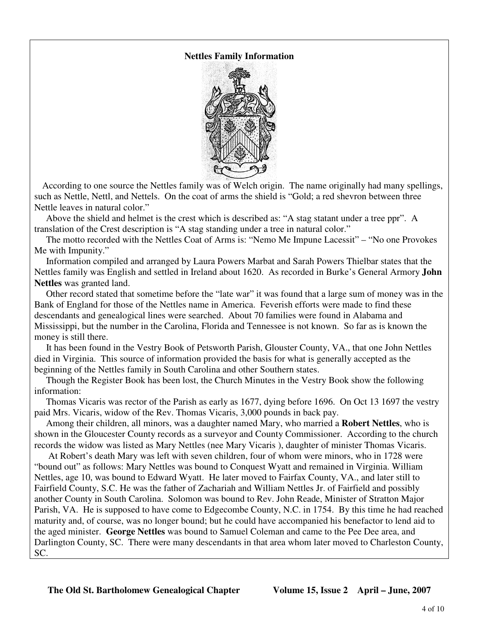# **Nettles Family Information**



 According to one source the Nettles family was of Welch origin. The name originally had many spellings, such as Nettle, Nettl, and Nettels. On the coat of arms the shield is "Gold; a red shevron between three Nettle leaves in natural color."

 Above the shield and helmet is the crest which is described as: "A stag statant under a tree ppr". A translation of the Crest description is "A stag standing under a tree in natural color."

 The motto recorded with the Nettles Coat of Arms is: "Nemo Me Impune Lacessit" – "No one Provokes Me with Impunity."

 Information compiled and arranged by Laura Powers Marbat and Sarah Powers Thielbar states that the Nettles family was English and settled in Ireland about 1620. As recorded in Burke's General Armory **John Nettles** was granted land.

 Other record stated that sometime before the "late war" it was found that a large sum of money was in the Bank of England for those of the Nettles name in America. Feverish efforts were made to find these descendants and genealogical lines were searched. About 70 families were found in Alabama and Mississippi, but the number in the Carolina, Florida and Tennessee is not known. So far as is known the money is still there.

 It has been found in the Vestry Book of Petsworth Parish, Glouster County, VA., that one John Nettles died in Virginia. This source of information provided the basis for what is generally accepted as the beginning of the Nettles family in South Carolina and other Southern states.

 Though the Register Book has been lost, the Church Minutes in the Vestry Book show the following information:

 Thomas Vicaris was rector of the Parish as early as 1677, dying before 1696. On Oct 13 1697 the vestry paid Mrs. Vicaris, widow of the Rev. Thomas Vicaris, 3,000 pounds in back pay.

 Among their children, all minors, was a daughter named Mary, who married a **Robert Nettles**, who is shown in the Gloucester County records as a surveyor and County Commissioner. According to the church records the widow was listed as Mary Nettles (nee Mary Vicaris ), daughter of minister Thomas Vicaris.

 At Robert's death Mary was left with seven children, four of whom were minors, who in 1728 were "bound out" as follows: Mary Nettles was bound to Conquest Wyatt and remained in Virginia. William Nettles, age 10, was bound to Edward Wyatt. He later moved to Fairfax County, VA., and later still to Fairfield County, S.C. He was the father of Zachariah and William Nettles Jr. of Fairfield and possibly another County in South Carolina. Solomon was bound to Rev. John Reade, Minister of Stratton Major Parish, VA. He is supposed to have come to Edgecombe County, N.C. in 1754. By this time he had reached maturity and, of course, was no longer bound; but he could have accompanied his benefactor to lend aid to the aged minister. **George Nettles** was bound to Samuel Coleman and came to the Pee Dee area, and Darlington County, SC. There were many descendants in that area whom later moved to Charleston County, SC.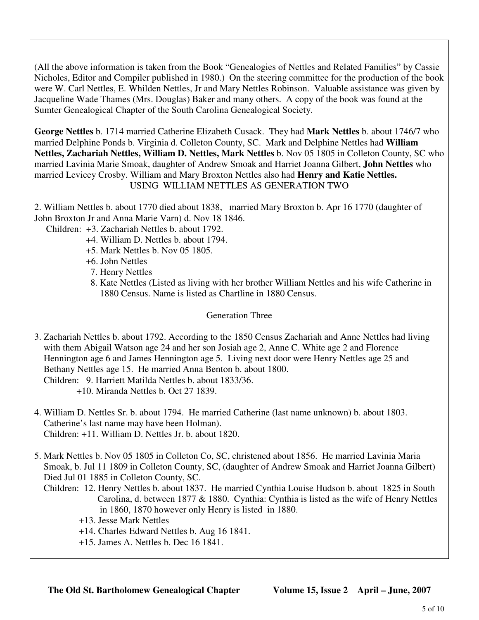(All the above information is taken from the Book "Genealogies of Nettles and Related Families" by Cassie Nicholes, Editor and Compiler published in 1980.) On the steering committee for the production of the book were W. Carl Nettles, E. Whilden Nettles, Jr and Mary Nettles Robinson. Valuable assistance was given by Jacqueline Wade Thames (Mrs. Douglas) Baker and many others. A copy of the book was found at the Sumter Genealogical Chapter of the South Carolina Genealogical Society.

**George Nettles** b. 1714 married Catherine Elizabeth Cusack. They had **Mark Nettles** b. about 1746/7 who married Delphine Ponds b. Virginia d. Colleton County, SC. Mark and Delphine Nettles had **William Nettles, Zachariah Nettles, William D. Nettles, Mark Nettles** b. Nov 05 1805 in Colleton County, SC who married Lavinia Marie Smoak, daughter of Andrew Smoak and Harriet Joanna Gilbert, **John Nettles** who married Levicey Crosby. William and Mary Broxton Nettles also had **Henry and Katie Nettles.** USING WILLIAM NETTLES AS GENERATION TWO

2. William Nettles b. about 1770 died about 1838, married Mary Broxton b. Apr 16 1770 (daughter of John Broxton Jr and Anna Marie Varn) d. Nov 18 1846.

Children: +3. Zachariah Nettles b. about 1792.

- +4. William D. Nettles b. about 1794.
- +5. Mark Nettles b. Nov 05 1805.
- +6. John Nettles
- 7. Henry Nettles
- 8. Kate Nettles (Listed as living with her brother William Nettles and his wife Catherine in 1880 Census. Name is listed as Chartline in 1880 Census.

# Generation Three

- 3. Zachariah Nettles b. about 1792. According to the 1850 Census Zachariah and Anne Nettles had living with them Abigail Watson age 24 and her son Josiah age 2, Anne C. White age 2 and Florence Hennington age 6 and James Hennington age 5. Living next door were Henry Nettles age 25 and Bethany Nettles age 15. He married Anna Benton b. about 1800. Children: 9. Harriett Matilda Nettles b. about 1833/36. +10. Miranda Nettles b. Oct 27 1839.
- 4. William D. Nettles Sr. b. about 1794. He married Catherine (last name unknown) b. about 1803. Catherine's last name may have been Holman). Children: +11. William D. Nettles Jr. b. about 1820.

5. Mark Nettles b. Nov 05 1805 in Colleton Co, SC, christened about 1856. He married Lavinia Maria Smoak, b. Jul 11 1809 in Colleton County, SC, (daughter of Andrew Smoak and Harriet Joanna Gilbert) Died Jul 01 1885 in Colleton County, SC.

- Children: 12. Henry Nettles b. about 1837. He married Cynthia Louise Hudson b. about 1825 in South Carolina, d. between 1877 & 1880. Cynthia: Cynthia is listed as the wife of Henry Nettles in 1860, 1870 however only Henry is listed in 1880.
	- +13. Jesse Mark Nettles
	- +14. Charles Edward Nettles b. Aug 16 1841.
	- +15. James A. Nettles b. Dec 16 1841.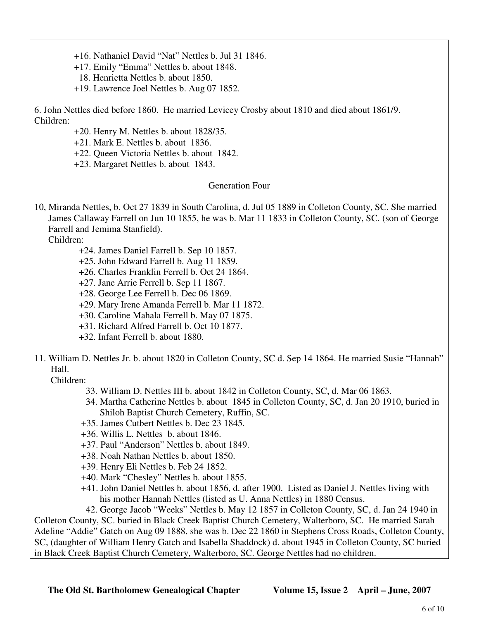- +16. Nathaniel David "Nat" Nettles b. Jul 31 1846.
- +17. Emily "Emma" Nettles b. about 1848.
- 18. Henrietta Nettles b. about 1850.
- +19. Lawrence Joel Nettles b. Aug 07 1852.

6. John Nettles died before 1860. He married Levicey Crosby about 1810 and died about 1861/9. Children:

- +20. Henry M. Nettles b. about 1828/35.
- +21. Mark E. Nettles b. about 1836.
- +22. Queen Victoria Nettles b. about 1842.
- +23. Margaret Nettles b. about 1843.

## Generation Four

10, Miranda Nettles, b. Oct 27 1839 in South Carolina, d. Jul 05 1889 in Colleton County, SC. She married James Callaway Farrell on Jun 10 1855, he was b. Mar 11 1833 in Colleton County, SC. (son of George Farrell and Jemima Stanfield).

Children:

- +24. James Daniel Farrell b. Sep 10 1857.
- +25. John Edward Farrell b. Aug 11 1859.
- +26. Charles Franklin Ferrell b. Oct 24 1864.
- +27. Jane Arrie Ferrell b. Sep 11 1867.
- +28. George Lee Ferrell b. Dec 06 1869.
- +29. Mary Irene Amanda Ferrell b. Mar 11 1872.
- +30. Caroline Mahala Ferrell b. May 07 1875.
- +31. Richard Alfred Farrell b. Oct 10 1877.
- +32. Infant Ferrell b. about 1880.
- 11. William D. Nettles Jr. b. about 1820 in Colleton County, SC d. Sep 14 1864. He married Susie "Hannah" Hall.

Children:

- 33. William D. Nettles III b. about 1842 in Colleton County, SC, d. Mar 06 1863.
- 34. Martha Catherine Nettles b. about 1845 in Colleton County, SC, d. Jan 20 1910, buried in Shiloh Baptist Church Cemetery, Ruffin, SC.
- +35. James Cutbert Nettles b. Dec 23 1845.
- +36. Willis L. Nettles b. about 1846.
- +37. Paul "Anderson" Nettles b. about 1849.
- +38. Noah Nathan Nettles b. about 1850.
- +39. Henry Eli Nettles b. Feb 24 1852.
- +40. Mark "Chesley" Nettles b. about 1855.
- +41. John Daniel Nettles b. about 1856, d. after 1900. Listed as Daniel J. Nettles living with his mother Hannah Nettles (listed as U. Anna Nettles) in 1880 Census.

 42. George Jacob "Weeks" Nettles b. May 12 1857 in Colleton County, SC, d. Jan 24 1940 in Colleton County, SC. buried in Black Creek Baptist Church Cemetery, Walterboro, SC. He married Sarah Adeline "Addie" Gatch on Aug 09 1888, she was b. Dec 22 1860 in Stephens Cross Roads, Colleton County, SC, (daughter of William Henry Gatch and Isabella Shaddock) d. about 1945 in Colleton County, SC buried in Black Creek Baptist Church Cemetery, Walterboro, SC. George Nettles had no children.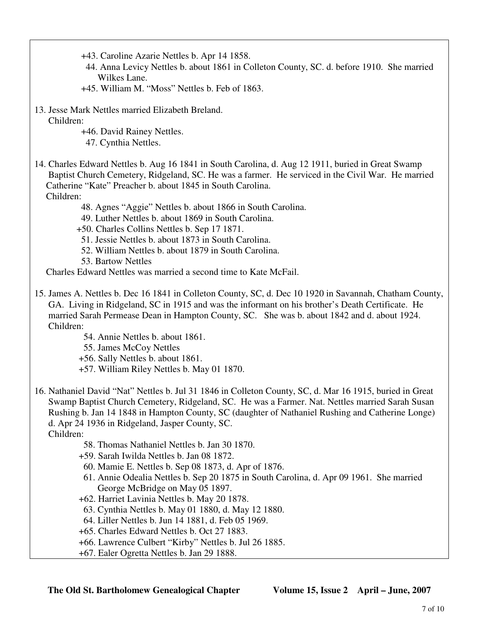- +43. Caroline Azarie Nettles b. Apr 14 1858.
- 44. Anna Levicy Nettles b. about 1861 in Colleton County, SC. d. before 1910. She married Wilkes Lane.
- +45. William M. "Moss" Nettles b. Feb of 1863.
- 13. Jesse Mark Nettles married Elizabeth Breland. Children:
	- +46. David Rainey Nettles.
	- 47. Cynthia Nettles.
- 14. Charles Edward Nettles b. Aug 16 1841 in South Carolina, d. Aug 12 1911, buried in Great Swamp Baptist Church Cemetery, Ridgeland, SC. He was a farmer. He serviced in the Civil War. He married Catherine "Kate" Preacher b. about 1845 in South Carolina. Children:
	- 48. Agnes "Aggie" Nettles b. about 1866 in South Carolina.
	- 49. Luther Nettles b. about 1869 in South Carolina.
	- +50. Charles Collins Nettles b. Sep 17 1871.
	- 51. Jessie Nettles b. about 1873 in South Carolina.
	- 52. William Nettles b. about 1879 in South Carolina.
	- 53. Bartow Nettles

Charles Edward Nettles was married a second time to Kate McFail.

- 15. James A. Nettles b. Dec 16 1841 in Colleton County, SC, d. Dec 10 1920 in Savannah, Chatham County, GA. Living in Ridgeland, SC in 1915 and was the informant on his brother's Death Certificate. He married Sarah Permease Dean in Hampton County, SC. She was b. about 1842 and d. about 1924. Children:
	- 54. Annie Nettles b. about 1861.
	- 55. James McCoy Nettles
	- +56. Sally Nettles b. about 1861.
	- +57. William Riley Nettles b. May 01 1870.
- 16. Nathaniel David "Nat" Nettles b. Jul 31 1846 in Colleton County, SC, d. Mar 16 1915, buried in Great Swamp Baptist Church Cemetery, Ridgeland, SC. He was a Farmer. Nat. Nettles married Sarah Susan Rushing b. Jan 14 1848 in Hampton County, SC (daughter of Nathaniel Rushing and Catherine Longe) d. Apr 24 1936 in Ridgeland, Jasper County, SC.
	- Children:
		- 58. Thomas Nathaniel Nettles b. Jan 30 1870.
		- +59. Sarah Iwilda Nettles b. Jan 08 1872.
		- 60. Mamie E. Nettles b. Sep 08 1873, d. Apr of 1876.
		- 61. Annie Odealia Nettles b. Sep 20 1875 in South Carolina, d. Apr 09 1961. She married George McBridge on May 05 1897.
		- +62. Harriet Lavinia Nettles b. May 20 1878.
		- 63. Cynthia Nettles b. May 01 1880, d. May 12 1880.
		- 64. Liller Nettles b. Jun 14 1881, d. Feb 05 1969.
		- +65. Charles Edward Nettles b. Oct 27 1883.
		- +66. Lawrence Culbert "Kirby" Nettles b. Jul 26 1885.
		- +67. Ealer Ogretta Nettles b. Jan 29 1888.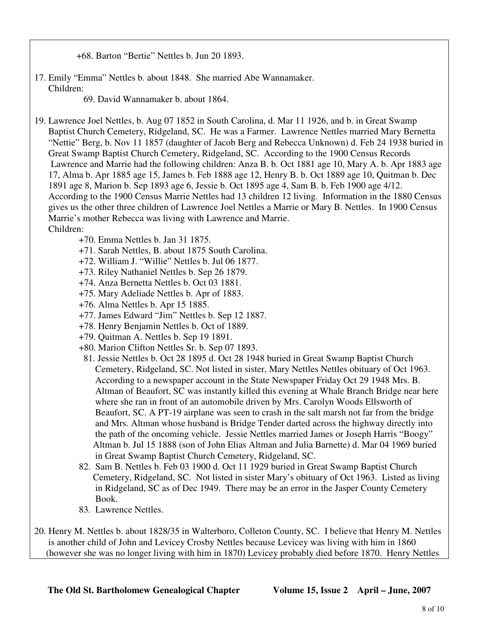+68. Barton "Bertie" Nettles b. Jun 20 1893.

17. Emily "Emma" Nettles b. about 1848. She married Abe Wannamaker. Children:

69. David Wannamaker b. about 1864.

- 19. Lawrence Joel Nettles, b. Aug 07 1852 in South Carolina, d. Mar 11 1926, and b. in Great Swamp Baptist Church Cemetery, Ridgeland, SC. He was a Farmer. Lawrence Nettles married Mary Bernetta "Nettie" Berg, b. Nov 11 1857 (daughter of Jacob Berg and Rebecca Unknown) d. Feb 24 1938 buried in Great Swamp Baptist Church Cemetery, Ridgeland, SC. According to the 1900 Census Records Lawrence and Marrie had the following children: Anza B. b. Oct 1881 age 10, Mary A. b. Apr 1883 age 17, Alma b. Apr 1885 age 15, James b. Feb 1888 age 12, Henry B. b. Oct 1889 age 10, Quitman b. Dec 1891 age 8, Marion b. Sep 1893 age 6, Jessie b. Oct 1895 age 4, Sam B. b. Feb 1900 age 4/12. According to the 1900 Census Marrie Nettles had 13 children 12 living. Information in the 1880 Census gives us the other three children of Lawrence Joel Nettles a Marrie or Mary B. Nettles. In 1900 Census Marrie's mother Rebecca was living with Lawrence and Marrie. Children:
	- +70. Emma Nettles b. Jan 31 1875.
	- +71. Sarah Nettles, B. about 1875 South Carolina.
	- +72. William J. "Willie" Nettles b. Jul 06 1877.
	- +73. Riley Nathaniel Nettles b. Sep 26 1879.
	- +74. Anza Bernetta Nettles b. Oct 03 1881.
	- +75. Mary Adeliade Nettles b. Apr of 1883.
	- +76. Alma Nettles b. Apr 15 1885.
	- +77. James Edward "Jim" Nettles b. Sep 12 1887.
	- +78. Henry Benjamin Nettles b. Oct of 1889.
	- +79. Quitman A. Nettles b. Sep 19 1891.
	- +80. Marion Clifton Nettles Sr. b. Sep 07 1893.
	- 81. Jessie Nettles b. Oct 28 1895 d. Oct 28 1948 buried in Great Swamp Baptist Church Cemetery, Ridgeland, SC. Not listed in sister, Mary Nettles Nettles obituary of Oct 1963. According to a newspaper account in the State Newspaper Friday Oct 29 1948 Mrs. B. Altman of Beaufort, SC was instantly killed this evening at Whale Branch Bridge near here where she ran in front of an automobile driven by Mrs. Carolyn Woods Ellsworth of Beaufort, SC. A PT-19 airplane was seen to crash in the salt marsh not far from the bridge and Mrs. Altman whose husband is Bridge Tender darted across the highway directly into the path of the oncoming vehicle. Jessie Nettles married James or Joseph Harris "Boogy" Altman b. Jul 15 1888 (son of John Elias Altman and Julia Barnette) d. Mar 04 1969 buried in Great Swamp Baptist Church Cemetery, Ridgeland, SC.
	- 82. Sam B. Nettles b. Feb 03 1900 d. Oct 11 1929 buried in Great Swamp Baptist Church Cemetery, Ridgeland, SC. Not listed in sister Mary's obituary of Oct 1963. Listed as living in Ridgeland, SC as of Dec 1949. There may be an error in the Jasper County Cemetery Book.
	- 83. Lawrence Nettles.
- 20. Henry M. Nettles b. about 1828/35 in Walterboro, Colleton County, SC. I believe that Henry M. Nettles is another child of John and Levicey Crosby Nettles because Levicey was living with him in 1860 (however she was no longer living with him in 1870) Levicey probably died before 1870. Henry Nettles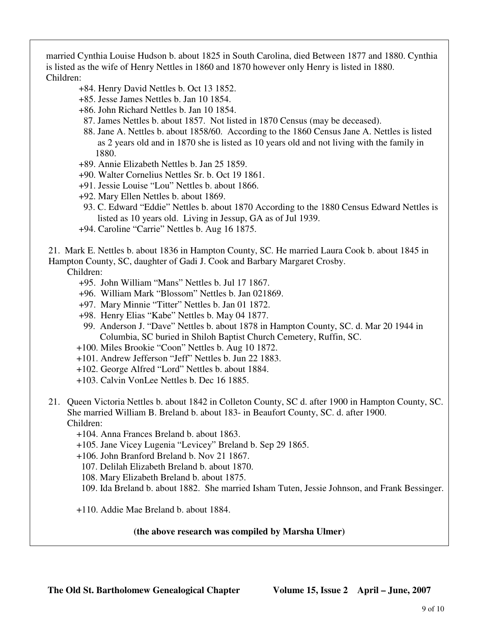married Cynthia Louise Hudson b. about 1825 in South Carolina, died Between 1877 and 1880. Cynthia is listed as the wife of Henry Nettles in 1860 and 1870 however only Henry is listed in 1880. Children:

- +84. Henry David Nettles b. Oct 13 1852.
- +85. Jesse James Nettles b. Jan 10 1854.
- +86. John Richard Nettles b. Jan 10 1854.
- 87. James Nettles b. about 1857. Not listed in 1870 Census (may be deceased).
- 88. Jane A. Nettles b. about 1858/60. According to the 1860 Census Jane A. Nettles is listed as 2 years old and in 1870 she is listed as 10 years old and not living with the family in 1880.
- +89. Annie Elizabeth Nettles b. Jan 25 1859.
- +90. Walter Cornelius Nettles Sr. b. Oct 19 1861.
- +91. Jessie Louise "Lou" Nettles b. about 1866.
- +92. Mary Ellen Nettles b. about 1869.
- 93. C. Edward "Eddie" Nettles b. about 1870 According to the 1880 Census Edward Nettles is listed as 10 years old. Living in Jessup, GA as of Jul 1939.
- +94. Caroline "Carrie" Nettles b. Aug 16 1875.
- 21. Mark E. Nettles b. about 1836 in Hampton County, SC. He married Laura Cook b. about 1845 in

Hampton County, SC, daughter of Gadi J. Cook and Barbary Margaret Crosby.

Children:

- +95. John William "Mans" Nettles b. Jul 17 1867.
- +96. William Mark "Blossom" Nettles b. Jan 021869.
- +97. Mary Minnie "Titter" Nettles b. Jan 01 1872.
- +98. Henry Elias "Kabe" Nettles b. May 04 1877.
- 99. Anderson J. "Dave" Nettles b. about 1878 in Hampton County, SC. d. Mar 20 1944 in Columbia, SC buried in Shiloh Baptist Church Cemetery, Ruffin, SC.
- +100. Miles Brookie "Coon" Nettles b. Aug 10 1872.
- +101. Andrew Jefferson "Jeff" Nettles b. Jun 22 1883.
- +102. George Alfred "Lord" Nettles b. about 1884.
- +103. Calvin VonLee Nettles b. Dec 16 1885.
- 21. Queen Victoria Nettles b. about 1842 in Colleton County, SC d. after 1900 in Hampton County, SC. She married William B. Breland b. about 183- in Beaufort County, SC. d. after 1900. Children:
	- +104. Anna Frances Breland b. about 1863.
	- +105. Jane Vicey Lugenia "Levicey" Breland b. Sep 29 1865.
	- +106. John Branford Breland b. Nov 21 1867.
		- 107. Delilah Elizabeth Breland b. about 1870.
		- 108. Mary Elizabeth Breland b. about 1875.
		- 109. Ida Breland b. about 1882. She married Isham Tuten, Jessie Johnson, and Frank Bessinger.
	- +110. Addie Mae Breland b. about 1884.

## **(the above research was compiled by Marsha Ulmer)**